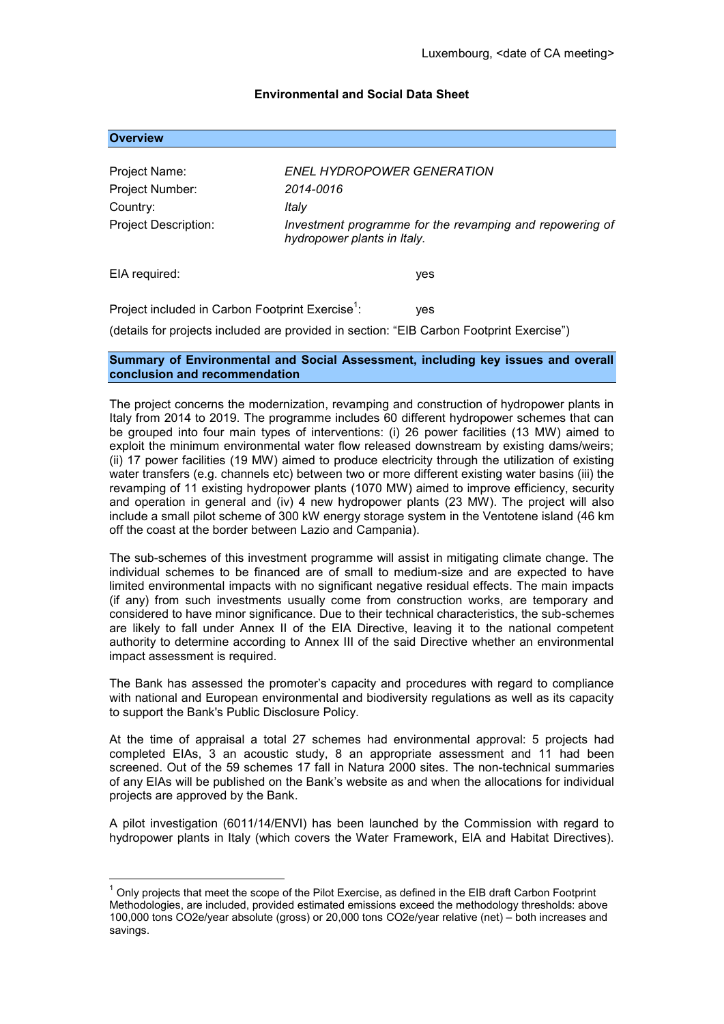## **Environmental and Social Data Sheet**

## **Overview**

<u>.</u>

| Project Name:                                                | ENEL HYDROPOWER GENERATION                                                              |
|--------------------------------------------------------------|-----------------------------------------------------------------------------------------|
| Project Number:                                              | 2014-0016                                                                               |
| Country:                                                     | Italy                                                                                   |
| <b>Project Description:</b>                                  | Investment programme for the revamping and repowering of<br>hydropower plants in Italy. |
| EIA required:                                                | yes                                                                                     |
| Project included in Carbon Footprint Exercise <sup>1</sup> : | yes                                                                                     |

(details for projects included are provided in section: "EIB Carbon Footprint Exercise")

## **Summary of Environmental and Social Assessment, including key issues and overall conclusion and recommendation**

The project concerns the modernization, revamping and construction of hydropower plants in Italy from 2014 to 2019. The programme includes 60 different hydropower schemes that can be grouped into four main types of interventions: (i) 26 power facilities (13 MW) aimed to exploit the minimum environmental water flow released downstream by existing dams/weirs; (ii) 17 power facilities (19 MW) aimed to produce electricity through the utilization of existing water transfers (e.g. channels etc) between two or more different existing water basins (iii) the revamping of 11 existing hydropower plants (1070 MW) aimed to improve efficiency, security and operation in general and (iv) 4 new hydropower plants (23 MW). The project will also include a small pilot scheme of 300 kW energy storage system in the Ventotene island (46 km off the coast at the border between Lazio and Campania).

The sub-schemes of this investment programme will assist in mitigating climate change. The individual schemes to be financed are of small to medium-size and are expected to have limited environmental impacts with no significant negative residual effects. The main impacts (if any) from such investments usually come from construction works, are temporary and considered to have minor significance. Due to their technical characteristics, the sub-schemes are likely to fall under Annex II of the EIA Directive, leaving it to the national competent authority to determine according to Annex III of the said Directive whether an environmental impact assessment is required.

The Bank has assessed the promoter's capacity and procedures with regard to compliance with national and European environmental and biodiversity regulations as well as its capacity to support the Bank's Public Disclosure Policy.

At the time of appraisal a total 27 schemes had environmental approval: 5 projects had completed EIAs, 3 an acoustic study, 8 an appropriate assessment and 11 had been screened. Out of the 59 schemes 17 fall in Natura 2000 sites. The non-technical summaries of any EIAs will be published on the Bank's website as and when the allocations for individual projects are approved by the Bank.

A pilot investigation (6011/14/ENVI) has been launched by the Commission with regard to hydropower plants in Italy (which covers the Water Framework, EIA and Habitat Directives).

 $1$  Only projects that meet the scope of the Pilot Exercise, as defined in the EIB draft Carbon Footprint Methodologies, are included, provided estimated emissions exceed the methodology thresholds: above 100,000 tons CO2e/year absolute (gross) or 20,000 tons CO2e/year relative (net) – both increases and savings.